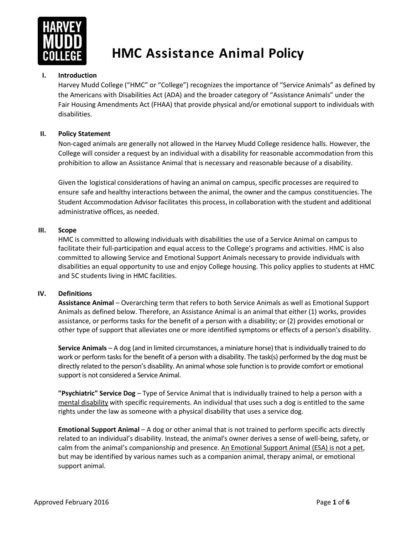

# **HMC Assistance Animal Policy**

# **I. Introduction**

Harvey Mudd College ("HMC" or "College") recognizes the importance of "Service Animals" as defined by the Americans with Disabilities Act (ADA) and the broader category of "Assistance Animals" under the Fair Housing Amendments Act (FHAA) that provide physical and/or emotional support to individuals with disabilities.

# **II. Policy Statement**

Non-caged animals are generally not allowed in the Harvey Mudd College residence halls. However, the College will consider a request by an individual with a disability for reasonable accommodation from this prohibition to allow an Assistance Animal that is necessary and reasonable because of a disability.

Given the logistical considerations of having an animal on campus, specific processes are required to ensure safe and healthy interactions between the animal, the owner and the campus constituencies. The Student Accommodation Advisor facilitates this process, in collaboration with the student and additional administrative offices, as needed.

# **III. Scope**

HMC is committed to allowing individuals with disabilities the use of a Service Animal on campus to facilitate their full-participation and equal access to the College's programs and activities. HMC is also committed to allowing Service and Emotional Support Animals necessary to provide individuals with disabilities an equal opportunity to use and enjoy College housing. This policy applies to students at HMC and 5C students living in HMC facilities.

#### **IV. Definitions**

**Assistance Animal** – Overarching term that refers to both Service Animals as well as Emotional Support Animals as defined below. Therefore, an Assistance Animal is an animal that either (1) works, provides assistance, or performs tasks for the benefit of a person with a disability; or (2) provides emotional or other type of support that alleviates one or more identified symptoms or effects of a person's disability.

**Service Animals** – A dog (and in limited circumstances, a miniature horse) that is individually trained to do work or perform tasks for the benefit of a person with a disability. The task(s) performed by the dog must be directly related to the person's disability. An animal whose sole function is to provide comfort or emotional support is not considered a Service Animal.

**"Psychiatric" Service Dog** – Type of Service Animal that is individually trained to help a person with a mental disability with specific requirements. An individual that uses such a dog is entitled to the same rights under the law as someone with a physical disability that uses a service dog.

**Emotional Support Animal** – A dog or other animal that is not trained to perform specific acts directly related to an individual's disability. Instead, the animal's owner derives a sense of well-being, safety, or calm from the animal's companionship and presence. An Emotional Support Animal (ESA) is not a pet, but may be identified by various names such as a companion animal, therapy animal, or emotional support animal.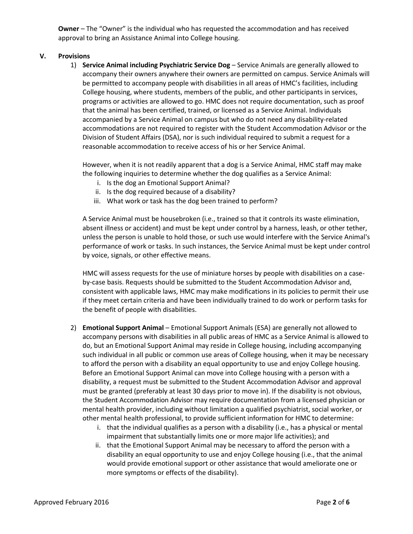**Owner** – The "Owner" is the individual who has requested the accommodation and has received approval to bring an Assistance Animal into College housing.

### **V. Provisions**

1) **Service Animal including Psychiatric Service Dog** – Service Animals are generally allowed to accompany their owners anywhere their owners are permitted on campus. Service Animals will be permitted to accompany people with disabilities in all areas of HMC's facilities, including College housing, where students, members of the public, and other participants in services, programs or activities are allowed to go. HMC does not require documentation, such as proof that the animal has been certified, trained, or licensed as a Service Animal. Individuals accompanied by a Service Animal on campus but who do not need any disability-related accommodations are not required to register with the Student Accommodation Advisor or the Division of Student Affairs (DSA), nor is such individual required to submit a request for a reasonable accommodation to receive access of his or her Service Animal.

However, when it is not readily apparent that a dog is a Service Animal, HMC staff may make the following inquiries to determine whether the dog qualifies as a Service Animal:

- i. Is the dog an Emotional Support Animal?
- ii. Is the dog required because of a disability?
- iii. What work or task has the dog been trained to perform?

A Service Animal must be housebroken (i.e., trained so that it controls its waste elimination, absent illness or accident) and must be kept under control by a harness, leash, or other tether, unless the person is unable to hold those, or such use would interfere with the Service Animal's performance of work or tasks. In such instances, the Service Animal must be kept under control by voice, signals, or other effective means.

HMC will assess requests for the use of miniature horses by people with disabilities on a caseby-case basis. Requests should be submitted to the Student Accommodation Advisor and, consistent with applicable laws, HMC may make modifications in its policies to permit their use if they meet certain criteria and have been individually trained to do work or perform tasks for the benefit of people with disabilities.

- 2) **Emotional Support Animal**  Emotional Support Animals (ESA) are generally not allowed to accompany persons with disabilities in all public areas of HMC as a Service Animal is allowed to do, but an Emotional Support Animal may reside in College housing, including accompanying such individual in all public or common use areas of College housing, when it may be necessary to afford the person with a disability an equal opportunity to use and enjoy College housing. Before an Emotional Support Animal can move into College housing with a person with a disability, a request must be submitted to the Student Accommodation Advisor and approval must be granted (preferably at least 30 days prior to move in). If the disability is not obvious, the Student Accommodation Advisor may require documentation from a licensed physician or mental health provider, including without limitation a qualified psychiatrist, social worker, or other mental health professional, to provide sufficient information for HMC to determine:
	- i. that the individual qualifies as a person with a disability (i.e., has a physical or mental impairment that substantially limits one or more major life activities); and
	- ii. that the Emotional Support Animal may be necessary to afford the person with a disability an equal opportunity to use and enjoy College housing (i.e., that the animal would provide emotional support or other assistance that would ameliorate one or more symptoms or effects of the disability).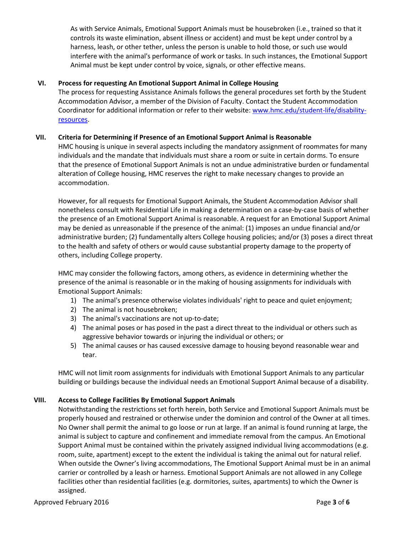As with Service Animals, Emotional Support Animals must be housebroken (i.e., trained so that it controls its waste elimination, absent illness or accident) and must be kept under control by a harness, leash, or other tether, unless the person is unable to hold those, or such use would interfere with the animal's performance of work or tasks. In such instances, the Emotional Support Animal must be kept under control by voice, signals, or other effective means.

# **VI. Process for requesting An Emotional Support Animal in College Housing**

The process for requesting Assistance Animals follows the general procedures set forth by the Student Accommodation Advisor, a member of the Division of Faculty. Contact the Student Accommodation Coordinator for additional information or refer to their website: [www.hmc.edu/student-life/disability](http://www.hmc.edu/student-life/disability-resources)[resources.](http://www.hmc.edu/student-life/disability-resources)

# **VII. Criteria for Determining if Presence of an Emotional Support Animal is Reasonable**

HMC housing is unique in several aspects including the mandatory assignment of roommates for many individuals and the mandate that individuals must share a room or suite in certain dorms. To ensure that the presence of Emotional Support Animals is not an undue administrative burden or fundamental alteration of College housing, HMC reserves the right to make necessary changes to provide an accommodation.

However, for all requests for Emotional Support Animals, the Student Accommodation Advisor shall nonetheless consult with Residential Life in making a determination on a case-by-case basis of whether the presence of an Emotional Support Animal is reasonable. A request for an Emotional Support Animal may be denied as unreasonable if the presence of the animal: (1) imposes an undue financial and/or administrative burden; (2) fundamentally alters College housing policies; and/or (3) poses a direct threat to the health and safety of others or would cause substantial property damage to the property of others, including College property.

HMC may consider the following factors, among others, as evidence in determining whether the presence of the animal is reasonable or in the making of housing assignments for individuals with Emotional Support Animals:

- 1) The animal's presence otherwise violates individuals' right to peace and quiet enjoyment;
- 2) The animal is not housebroken;
- 3) The animal's vaccinations are not up-to-date;
- 4) The animal poses or has posed in the past a direct threat to the individual or others such as aggressive behavior towards or injuring the individual or others; or
- 5) The animal causes or has caused excessive damage to housing beyond reasonable wear and tear.

HMC will not limit room assignments for individuals with Emotional Support Animals to any particular building or buildings because the individual needs an Emotional Support Animal because of a disability.

#### **VIII. Access to College Facilities By Emotional Support Animals**

Notwithstanding the restrictions set forth herein, both Service and Emotional Support Animals must be properly housed and restrained or otherwise under the dominion and control of the Owner at all times. No Owner shall permit the animal to go loose or run at large. If an animal is found running at large, the animal is subject to capture and confinement and immediate removal from the campus. An Emotional Support Animal must be contained within the privately assigned individual living accommodations (e.g. room, suite, apartment) except to the extent the individual is taking the animal out for natural relief. When outside the Owner's living accommodations, The Emotional Support Animal must be in an animal carrier or controlled by a leash or harness. Emotional Support Animals are not allowed in any College facilities other than residential facilities (e.g. dormitories, suites, apartments) to which the Owner is assigned.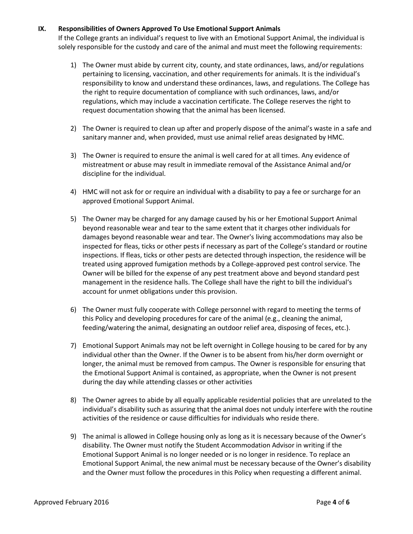### **IX. Responsibilities of Owners Approved To Use Emotional Support Animals**

If the College grants an individual's request to live with an Emotional Support Animal, the individual is solely responsible for the custody and care of the animal and must meet the following requirements:

- 1) The Owner must abide by current city, county, and state ordinances, laws, and/or regulations pertaining to licensing, vaccination, and other requirements for animals. It is the individual's responsibility to know and understand these ordinances, laws, and regulations. The College has the right to require documentation of compliance with such ordinances, laws, and/or regulations, which may include a vaccination certificate. The College reserves the right to request documentation showing that the animal has been licensed.
- 2) The Owner is required to clean up after and properly dispose of the animal's waste in a safe and sanitary manner and, when provided, must use animal relief areas designated by HMC.
- 3) The Owner is required to ensure the animal is well cared for at all times. Any evidence of mistreatment or abuse may result in immediate removal of the Assistance Animal and/or discipline for the individual.
- 4) HMC will not ask for or require an individual with a disability to pay a fee or surcharge for an approved Emotional Support Animal.
- 5) The Owner may be charged for any damage caused by his or her Emotional Support Animal beyond reasonable wear and tear to the same extent that it charges other individuals for damages beyond reasonable wear and tear. The Owner's living accommodations may also be inspected for fleas, ticks or other pests if necessary as part of the College's standard or routine inspections. If fleas, ticks or other pests are detected through inspection, the residence will be treated using approved fumigation methods by a College-approved pest control service. The Owner will be billed for the expense of any pest treatment above and beyond standard pest management in the residence halls. The College shall have the right to bill the individual's account for unmet obligations under this provision.
- 6) The Owner must fully cooperate with College personnel with regard to meeting the terms of this Policy and developing procedures for care of the animal (e.g., cleaning the animal, feeding/watering the animal, designating an outdoor relief area, disposing of feces, etc.).
- 7) Emotional Support Animals may not be left overnight in College housing to be cared for by any individual other than the Owner. If the Owner is to be absent from his/her dorm overnight or longer, the animal must be removed from campus. The Owner is responsible for ensuring that the Emotional Support Animal is contained, as appropriate, when the Owner is not present during the day while attending classes or other activities
- 8) The Owner agrees to abide by all equally applicable residential policies that are unrelated to the individual's disability such as assuring that the animal does not unduly interfere with the routine activities of the residence or cause difficulties for individuals who reside there.
- 9) The animal is allowed in College housing only as long as it is necessary because of the Owner's disability. The Owner must notify the Student Accommodation Advisor in writing if the Emotional Support Animal is no longer needed or is no longer in residence. To replace an Emotional Support Animal, the new animal must be necessary because of the Owner's disability and the Owner must follow the procedures in this Policy when requesting a different animal.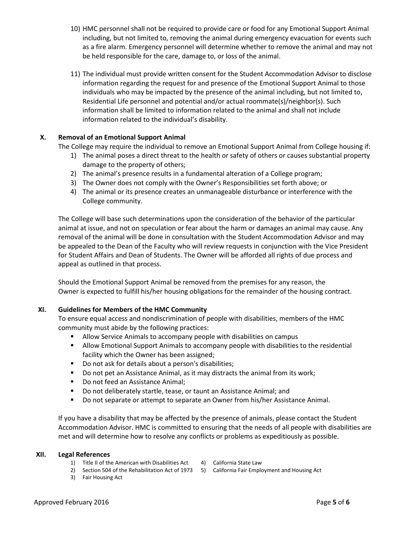- 10) HMC personnel shall not be required to provide care or food for any Emotional Support Animal including, but not limited to, removing the animal during emergency evacuation for events such as a fire alarm. Emergency personnel will determine whether to remove the animal and may not be held responsible for the care, damage to, or loss of the animal.
- 11) The individual must provide written consent for the Student Accommodation Advisor to disclose information regarding the request for and presence of the Emotional Support Animal to those individuals who may be impacted by the presence of the animal including, but not limited to, Residential Life personnel and potential and/or actual roommate(s)/neighbor(s). Such information shall be limited to information related to the animal and shall not include information related to the individual's disability.

# **X. Removal of an Emotional Support Animal**

The College may require the individual to remove an Emotional Support Animal from College housing if:

- 1) The animal poses a direct threat to the health or safety of others or causes substantial property damage to the property of others;
- 2) The animal's presence results in a fundamental alteration of a College program;
- 3) The Owner does not comply with the Owner's Responsibilities set forth above; or
- 4) The animal or its presence creates an unmanageable disturbance or interference with the College community.

The College will base such determinations upon the consideration of the behavior of the particular animal at issue, and not on speculation or fear about the harm or damages an animal may cause. Any removal of the animal will be done in consultation with the Student Accommodation Advisor and may be appealed to the Dean of the Faculty who will review requests in conjunction with the Vice President for Student Affairs and Dean of Students. The Owner will be afforded all rights of due process and appeal as outlined in that process.

Should the Emotional Support Animal be removed from the premises for any reason, the Owner is expected to fulfill his/her housing obligations for the remainder of the housing contract.

#### **XI. Guidelines for Members of the HMC Community**

To ensure equal access and nondiscrimination of people with disabilities, members of the HMC community must abide by the following practices:

- Allow Service Animals to accompany people with disabilities on campus
- **Allow Emotional Support Animals to accompany people with disabilities to the residential** facility which the Owner has been assigned;
- Do not ask for details about a person's disabilities;
- Do not pet an Assistance Animal, as it may distracts the animal from its work;
- Do not feed an Assistance Animal;
- Do not deliberately startle, tease, or taunt an Assistance Animal; and
- **Do not separate or attempt to separate an Owner from his/her Assistance Animal.**

If you have a disability that may be affected by the presence of animals, please contact the Student Accommodation Advisor. HMC is committed to ensuring that the needs of all people with disabilities are met and will determine how to resolve any conflicts or problems as expeditiously as possible.

#### **XII. Legal References**

- 1) Title II of the American with Disabilities Act
	- 4) California State Law
- 2) Section 504 of the Rehabilitation Act of 1973 5) California Fair Employment and Housing Act
- 3) Fair Housing Act